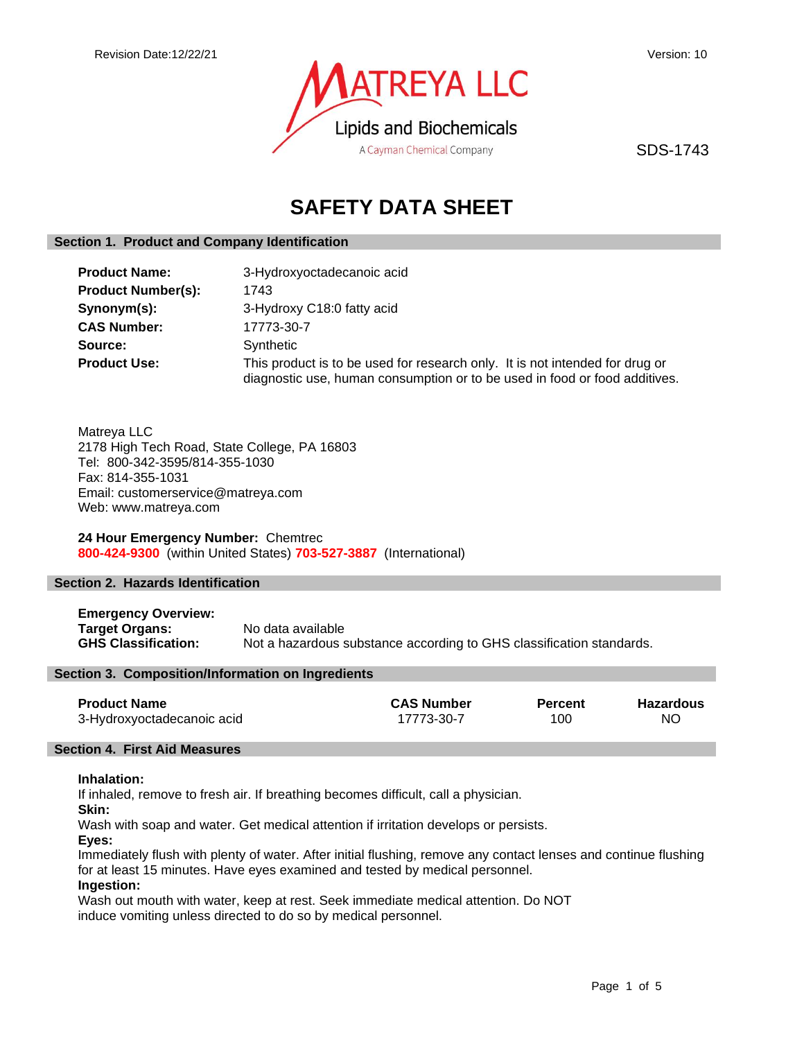

SDS-1743

# **SAFETY DATA SHEET**

# **Section 1. Product and Company Identification**

| <b>Product Name:</b>      | 3-Hydroxyoctadecanoic acid                                                                                                                                 |
|---------------------------|------------------------------------------------------------------------------------------------------------------------------------------------------------|
| <b>Product Number(s):</b> | 1743                                                                                                                                                       |
| Synonym(s):               | 3-Hydroxy C18:0 fatty acid                                                                                                                                 |
| <b>CAS Number:</b>        | 17773-30-7                                                                                                                                                 |
| Source:                   | Synthetic                                                                                                                                                  |
| <b>Product Use:</b>       | This product is to be used for research only. It is not intended for drug or<br>diagnostic use, human consumption or to be used in food or food additives. |

Matreya LLC 2178 High Tech Road, State College, PA 16803 Tel: 800-342-3595/814-355-1030 Fax: 814-355-1031 Email: customerservice@matreya.com Web: www.matreya.com

**24 Hour Emergency Number:** Chemtrec **800-424-9300** (within United States) **703-527-3887** (International)

# **Section 2. Hazards Identification**

**Emergency Overview: Target Organs:** No data available<br> **GHS Classification:** Not a hazardous s Not a hazardous substance according to GHS classification standards.

# **Section 3. Composition/Information on Ingredients**

| <b>Product Name</b>        | <b>CAS Number</b> | <b>Percent</b> | <b>Hazardous</b> |
|----------------------------|-------------------|----------------|------------------|
| 3-Hydroxyoctadecanoic acid | 17773-30-7        | 100            | NO.              |

### **Section 4. First Aid Measures**

# **Inhalation:**

If inhaled, remove to fresh air. If breathing becomes difficult, call a physician.

**Skin:**

Wash with soap and water. Get medical attention if irritation develops or persists.

**Eyes:**

Immediately flush with plenty of water. After initial flushing, remove any contact lenses and continue flushing for at least 15 minutes. Have eyes examined and tested by medical personnel.

# **Ingestion:**

Wash out mouth with water, keep at rest. Seek immediate medical attention. Do NOT induce vomiting unless directed to do so by medical personnel.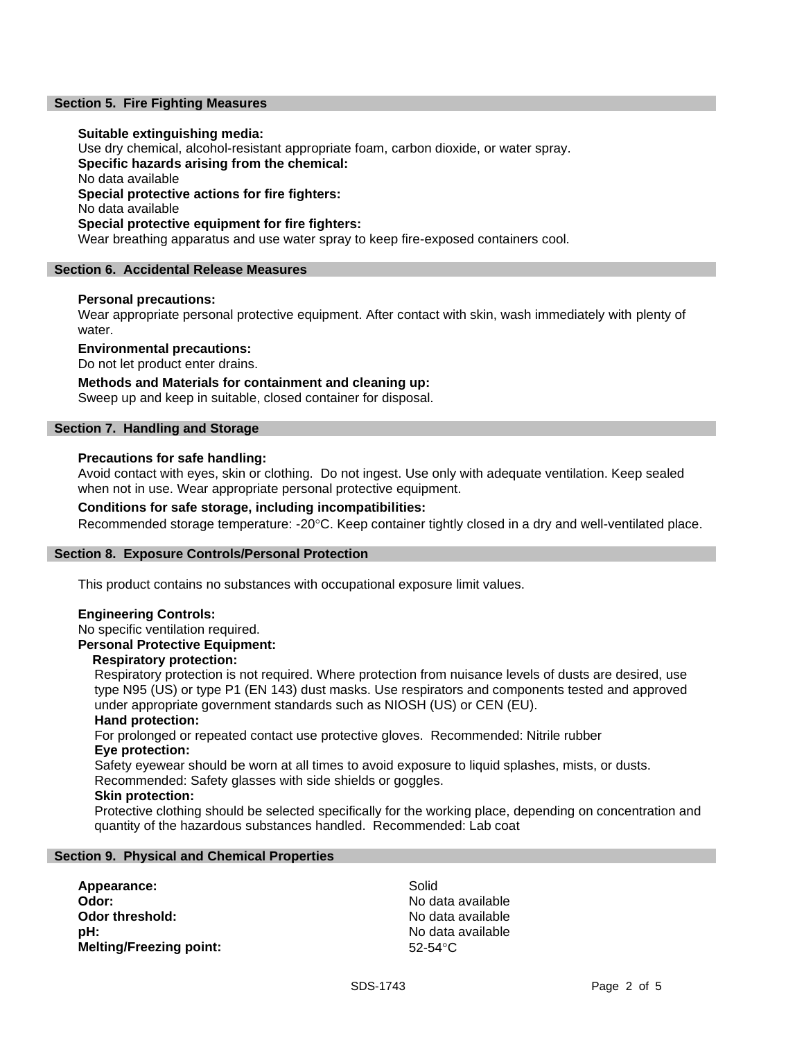# **Section 5. Fire Fighting Measures**

### **Suitable extinguishing media:**

Use dry chemical, alcohol-resistant appropriate foam, carbon dioxide, or water spray. **Specific hazards arising from the chemical:** No data available **Special protective actions for fire fighters:** No data available **Special protective equipment for fire fighters:** Wear breathing apparatus and use water spray to keep fire-exposed containers cool.

### **Section 6. Accidental Release Measures**

### **Personal precautions:**

Wear appropriate personal protective equipment. After contact with skin, wash immediately with plenty of water.

**Environmental precautions:**

Do not let product enter drains.

**Methods and Materials for containment and cleaning up:**

Sweep up and keep in suitable, closed container for disposal.

# **Section 7. Handling and Storage**

# **Precautions for safe handling:**

Avoid contact with eyes, skin or clothing. Do not ingest. Use only with adequate ventilation. Keep sealed when not in use. Wear appropriate personal protective equipment.

# **Conditions for safe storage, including incompatibilities:**

Recommended storage temperature: -20°C. Keep container tightly closed in a dry and well-ventilated place.

### **Section 8. Exposure Controls/Personal Protection**

This product contains no substances with occupational exposure limit values.

### **Engineering Controls:**

# No specific ventilation required.

**Personal Protective Equipment:**

# **Respiratory protection:**

Respiratory protection is not required. Where protection from nuisance levels of dusts are desired, use type N95 (US) or type P1 (EN 143) dust masks. Use respirators and components tested and approved under appropriate government standards such as NIOSH (US) or CEN (EU).

### **Hand protection:**

For prolonged or repeated contact use protective gloves. Recommended: Nitrile rubber **Eye protection:**

Safety eyewear should be worn at all times to avoid exposure to liquid splashes, mists, or dusts. Recommended: Safety glasses with side shields or goggles.

### **Skin protection:**

Protective clothing should be selected specifically for the working place, depending on concentration and quantity of the hazardous substances handled. Recommended: Lab coat

### **Section 9. Physical and Chemical Properties**

Appearance: Solid **Odor:** No data available **Odor threshold:** No data available **pH:**  $\blacksquare$ **Melting/Freezing point:** 52-54°C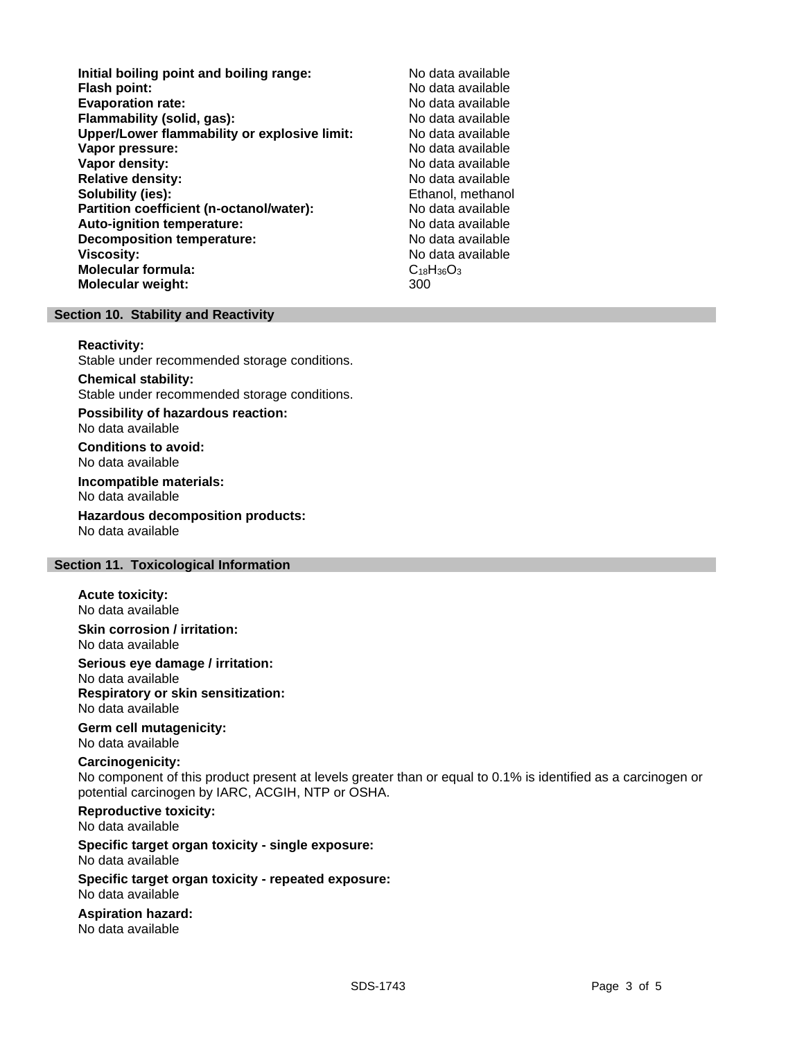**Initial boiling point and boiling range:** No data available **Flash point:** No data available **Evaporation rate: Flammability (solid, gas):** No data available **Upper/Lower flammability or explosive limit:** No data available **Vapor pressure:** No data available **Vapor density:** No data available **Relative density:** No data available **Solubility (ies):** Ethanol, methanol **Partition coefficient (n-octanol/water):** No data available<br> **Auto-ignition temperature:** No data available **Auto-ignition temperature: Decomposition temperature:** No data available **Viscosity:** No data available **Molecular formula:** C<sub>18</sub>H<sub>36</sub>O<sub>3</sub> **Molecular weight:** 300

# **Section 10. Stability and Reactivity**

### **Reactivity:**

Stable under recommended storage conditions.

### **Chemical stability:**

Stable under recommended storage conditions.

**Possibility of hazardous reaction:** No data available

**Conditions to avoid:** No data available

**Incompatible materials:** No data available

**Hazardous decomposition products:** No data available

# **Section 11. Toxicological Information**

# **Acute toxicity:**

No data available

# **Skin corrosion / irritation:** No data available

**Serious eye damage / irritation:**

No data available **Respiratory or skin sensitization:** No data available

### **Germ cell mutagenicity:** No data available

### **Carcinogenicity:**

No component of this product present at levels greater than or equal to 0.1% is identified as a carcinogen or potential carcinogen by IARC, ACGIH, NTP or OSHA.

# **Reproductive toxicity:**

No data available

### **Specific target organ toxicity - single exposure:** No data available

# **Specific target organ toxicity - repeated exposure:** No data available

# **Aspiration hazard:**

No data available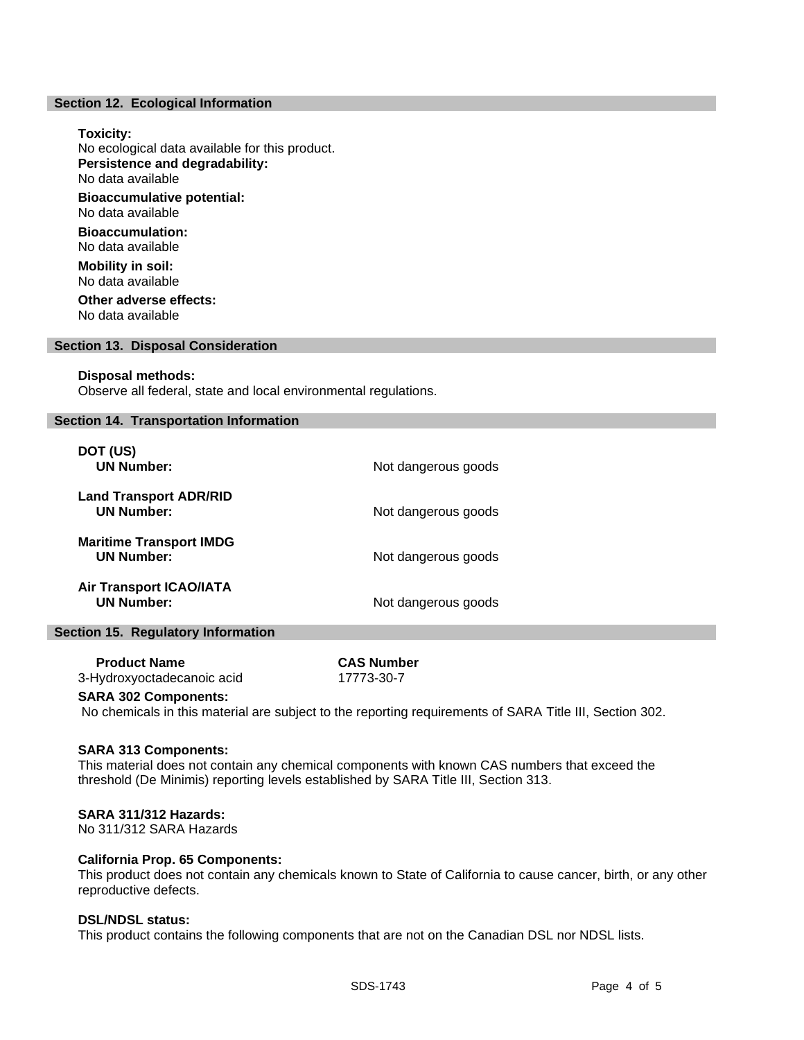### **Section 12. Ecological Information**

### **Toxicity:**

No ecological data available for this product. **Persistence and degradability:** No data available **Bioaccumulative potential:** No data available **Bioaccumulation:** No data available **Mobility in soil:** No data available **Other adverse effects:** No data available

### **Section 13. Disposal Consideration**

### **Disposal methods:**

Observe all federal, state and local environmental regulations.

# **Section 14. Transportation Information**

| DOT (US)<br><b>UN Number:</b>                       | Not dangerous goods |
|-----------------------------------------------------|---------------------|
| <b>Land Transport ADR/RID</b><br><b>UN Number:</b>  | Not dangerous goods |
| <b>Maritime Transport IMDG</b><br><b>UN Number:</b> | Not dangerous goods |
| <b>Air Transport ICAO/IATA</b><br><b>UN Number:</b> | Not dangerous goods |

### **Section 15. Regulatory Information**

| <b>Product Name</b>        | <b>CAS Number</b> |
|----------------------------|-------------------|
| 3-Hydroxyoctadecanoic acid | 17773-30-7        |

### **SARA 302 Components:**

No chemicals in this material are subject to the reporting requirements of SARA Title III, Section 302.

# **SARA 313 Components:**

This material does not contain any chemical components with known CAS numbers that exceed the threshold (De Minimis) reporting levels established by SARA Title III, Section 313.

# **SARA 311/312 Hazards:**

No 311/312 SARA Hazards

# **California Prop. 65 Components:**

This product does not contain any chemicals known to State of California to cause cancer, birth, or any other reproductive defects.

# **DSL/NDSL status:**

This product contains the following components that are not on the Canadian DSL nor NDSL lists.